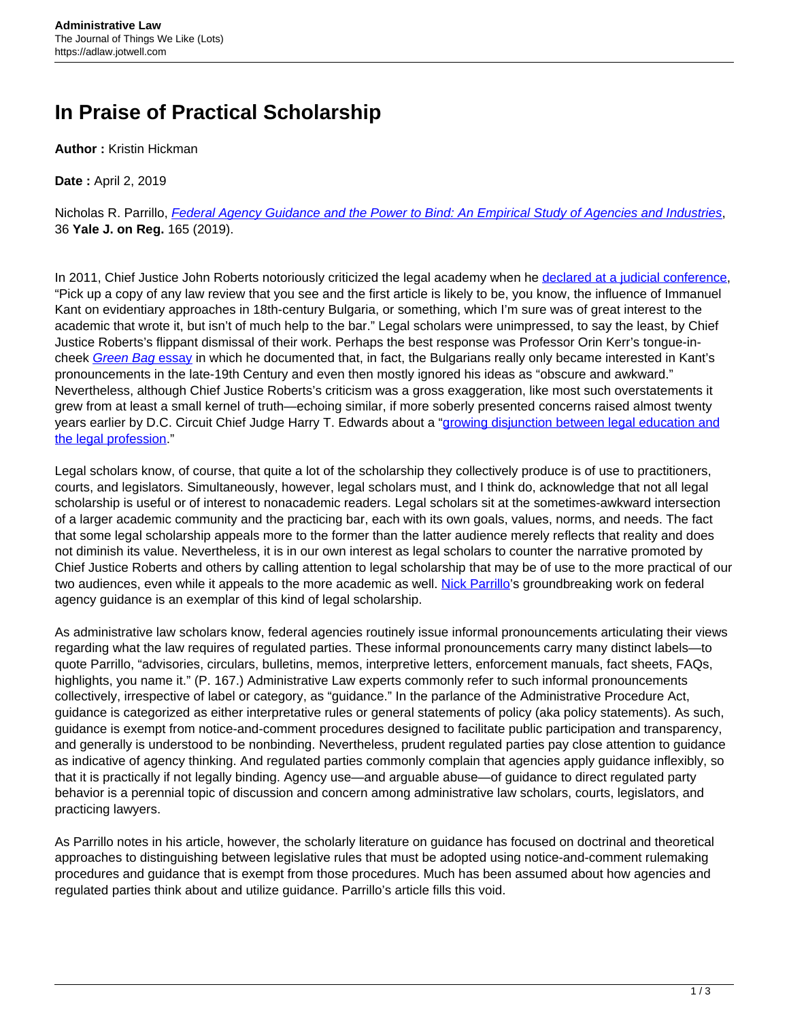## **In Praise of Practical Scholarship**

**Author :** Kristin Hickman

**Date :** April 2, 2019

Nicholas R. Parrillo, *[Federal Agency Guidance and the Power to Bind: An Empirical Study of Agencies and Industries](http://yalejreg.com/articlepdfs/36-JREG-165.pdf)*, 36 **Yale J. on Reg.** 165 (2019).

In 2011, Chief Justice John Roberts notoriously criticized the legal academy when he [declared at a judicial conference](https://www.c-span.org/video/?300203-1/conversation-chief-justice-roberts), "Pick up a copy of any law review that you see and the first article is likely to be, you know, the influence of Immanuel Kant on evidentiary approaches in 18th-century Bulgaria, or something, which I'm sure was of great interest to the academic that wrote it, but isn't of much help to the bar." Legal scholars were unimpressed, to say the least, by Chief Justice Roberts's flippant dismissal of their work. Perhaps the best response was Professor Orin Kerr's tongue-in-cheek [Green Bag](http://www.greenbag.org/v18n3/v18n3_articles_Kerr.pdf) [essay](http://www.greenbag.org/v18n3/v18n3_articles_Kerr.pdf) in which he documented that, in fact, the Bulgarians really only became interested in Kant's pronouncements in the late-19th Century and even then mostly ignored his ideas as "obscure and awkward." Nevertheless, although Chief Justice Roberts's criticism was a gross exaggeration, like most such overstatements it grew from at least a small kernel of truth—echoing similar, if more soberly presented concerns raised almost twenty years earlier by D.C. Circuit Chief Judge Harry T. Edwards about a "[growing disjunction between legal education and](https://www.jstor.org/stable/1289788?seq=1#page_scan_tab_contents) [the legal profession](https://www.jstor.org/stable/1289788?seq=1#page_scan_tab_contents)."

Legal scholars know, of course, that quite a lot of the scholarship they collectively produce is of use to practitioners, courts, and legislators. Simultaneously, however, legal scholars must, and I think do, acknowledge that not all legal scholarship is useful or of interest to nonacademic readers. Legal scholars sit at the sometimes-awkward intersection of a larger academic community and the practicing bar, each with its own goals, values, norms, and needs. The fact that some legal scholarship appeals more to the former than the latter audience merely reflects that reality and does not diminish its value. Nevertheless, it is in our own interest as legal scholars to counter the narrative promoted by Chief Justice Roberts and others by calling attention to legal scholarship that may be of use to the more practical of our two audiences, even while it appeals to the more academic as well. [Nick Parrillo'](https://law.yale.edu/nicholas-r-parrillo)s groundbreaking work on federal agency guidance is an exemplar of this kind of legal scholarship.

As administrative law scholars know, federal agencies routinely issue informal pronouncements articulating their views regarding what the law requires of regulated parties. These informal pronouncements carry many distinct labels—to quote Parrillo, "advisories, circulars, bulletins, memos, interpretive letters, enforcement manuals, fact sheets, FAQs, highlights, you name it." (P. 167.) Administrative Law experts commonly refer to such informal pronouncements collectively, irrespective of label or category, as "guidance." In the parlance of the Administrative Procedure Act, guidance is categorized as either interpretative rules or general statements of policy (aka policy statements). As such, guidance is exempt from notice-and-comment procedures designed to facilitate public participation and transparency, and generally is understood to be nonbinding. Nevertheless, prudent regulated parties pay close attention to guidance as indicative of agency thinking. And regulated parties commonly complain that agencies apply guidance inflexibly, so that it is practically if not legally binding. Agency use—and arguable abuse—of guidance to direct regulated party behavior is a perennial topic of discussion and concern among administrative law scholars, courts, legislators, and practicing lawyers.

As Parrillo notes in his article, however, the scholarly literature on guidance has focused on doctrinal and theoretical approaches to distinguishing between legislative rules that must be adopted using notice-and-comment rulemaking procedures and guidance that is exempt from those procedures. Much has been assumed about how agencies and regulated parties think about and utilize guidance. Parrillo's article fills this void.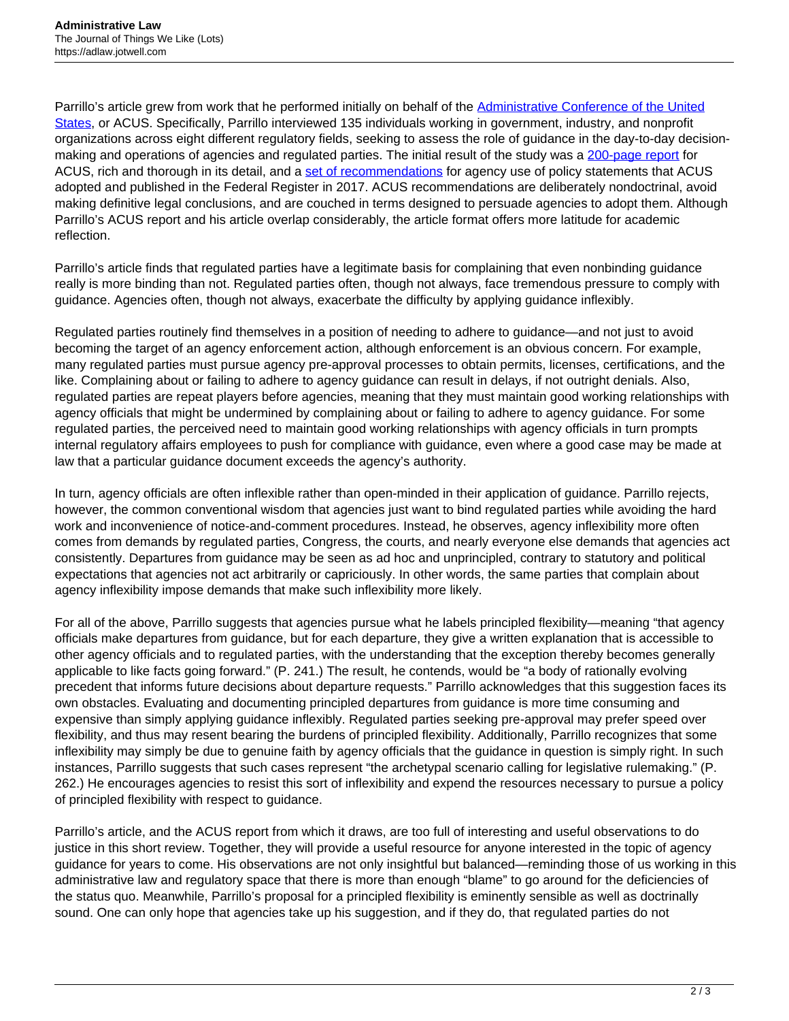Parrillo's article grew from work that he performed initially on behalf of the **Administrative Conference of the United** [States,](https://www.acus.gov/) or ACUS. Specifically, Parrillo interviewed 135 individuals working in government, industry, and nonprofit organizations across eight different regulatory fields, seeking to assess the role of guidance in the day-to-day decision-making and operations of agencies and regulated parties. The initial result of the study was a [200-page report](https://www.acus.gov/sites/default/files/documents/parrillo-agency-guidance-draft-report.pdf) for ACUS, rich and thorough in its detail, and a [set of recommendations](https://www.acus.gov/recommendation/agency-guidance-through-policy-statements) for agency use of policy statements that ACUS adopted and published in the Federal Register in 2017. ACUS recommendations are deliberately nondoctrinal, avoid making definitive legal conclusions, and are couched in terms designed to persuade agencies to adopt them. Although Parrillo's ACUS report and his article overlap considerably, the article format offers more latitude for academic reflection.

Parrillo's article finds that regulated parties have a legitimate basis for complaining that even nonbinding guidance really is more binding than not. Regulated parties often, though not always, face tremendous pressure to comply with guidance. Agencies often, though not always, exacerbate the difficulty by applying guidance inflexibly.

Regulated parties routinely find themselves in a position of needing to adhere to guidance—and not just to avoid becoming the target of an agency enforcement action, although enforcement is an obvious concern. For example, many regulated parties must pursue agency pre-approval processes to obtain permits, licenses, certifications, and the like. Complaining about or failing to adhere to agency guidance can result in delays, if not outright denials. Also, regulated parties are repeat players before agencies, meaning that they must maintain good working relationships with agency officials that might be undermined by complaining about or failing to adhere to agency guidance. For some regulated parties, the perceived need to maintain good working relationships with agency officials in turn prompts internal regulatory affairs employees to push for compliance with guidance, even where a good case may be made at law that a particular guidance document exceeds the agency's authority.

In turn, agency officials are often inflexible rather than open-minded in their application of guidance. Parrillo rejects, however, the common conventional wisdom that agencies just want to bind regulated parties while avoiding the hard work and inconvenience of notice-and-comment procedures. Instead, he observes, agency inflexibility more often comes from demands by regulated parties, Congress, the courts, and nearly everyone else demands that agencies act consistently. Departures from guidance may be seen as ad hoc and unprincipled, contrary to statutory and political expectations that agencies not act arbitrarily or capriciously. In other words, the same parties that complain about agency inflexibility impose demands that make such inflexibility more likely.

For all of the above, Parrillo suggests that agencies pursue what he labels principled flexibility—meaning "that agency officials make departures from guidance, but for each departure, they give a written explanation that is accessible to other agency officials and to regulated parties, with the understanding that the exception thereby becomes generally applicable to like facts going forward." (P. 241.) The result, he contends, would be "a body of rationally evolving precedent that informs future decisions about departure requests." Parrillo acknowledges that this suggestion faces its own obstacles. Evaluating and documenting principled departures from guidance is more time consuming and expensive than simply applying guidance inflexibly. Regulated parties seeking pre-approval may prefer speed over flexibility, and thus may resent bearing the burdens of principled flexibility. Additionally, Parrillo recognizes that some inflexibility may simply be due to genuine faith by agency officials that the guidance in question is simply right. In such instances, Parrillo suggests that such cases represent "the archetypal scenario calling for legislative rulemaking." (P. 262.) He encourages agencies to resist this sort of inflexibility and expend the resources necessary to pursue a policy of principled flexibility with respect to guidance.

Parrillo's article, and the ACUS report from which it draws, are too full of interesting and useful observations to do justice in this short review. Together, they will provide a useful resource for anyone interested in the topic of agency guidance for years to come. His observations are not only insightful but balanced—reminding those of us working in this administrative law and regulatory space that there is more than enough "blame" to go around for the deficiencies of the status quo. Meanwhile, Parrillo's proposal for a principled flexibility is eminently sensible as well as doctrinally sound. One can only hope that agencies take up his suggestion, and if they do, that regulated parties do not